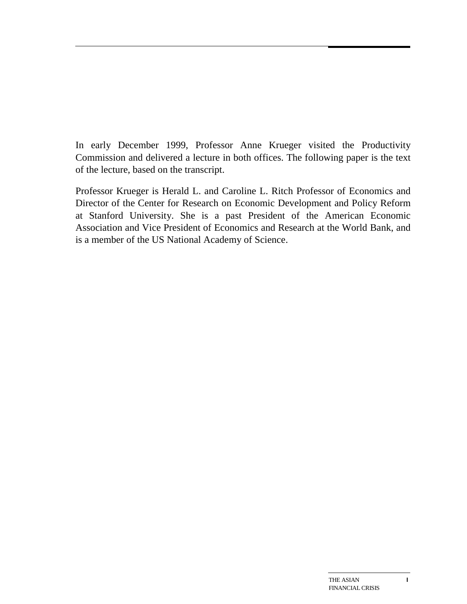In early December 1999, Professor Anne Krueger visited the Productivity Commission and delivered a lecture in both offices. The following paper is the text of the lecture, based on the transcript.

Professor Krueger is Herald L. and Caroline L. Ritch Professor of Economics and Director of the Center for Research on Economic Development and Policy Reform at Stanford University. She is a past President of the American Economic Association and Vice President of Economics and Research at the World Bank, and is a member of the US National Academy of Science.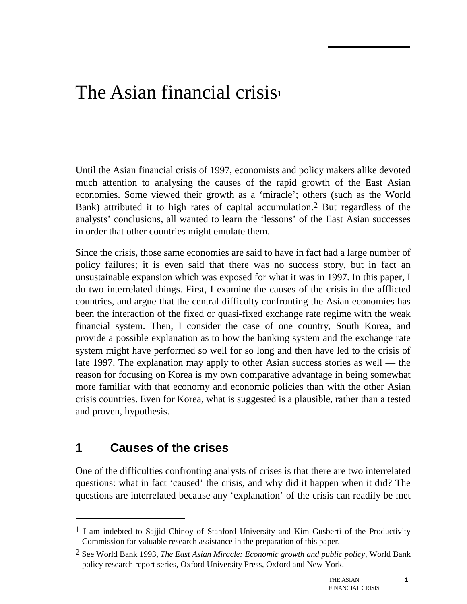# The Asian financial crisis $_1$

Until the Asian financial crisis of 1997, economists and policy makers alike devoted much attention to analysing the causes of the rapid growth of the East Asian economies. Some viewed their growth as a 'miracle'; others (such as the World Bank) attributed it to high rates of capital accumulation.2 But regardless of the analysts' conclusions, all wanted to learn the 'lessons' of the East Asian successes in order that other countries might emulate them.

Since the crisis, those same economies are said to have in fact had a large number of policy failures; it is even said that there was no success story, but in fact an unsustainable expansion which was exposed for what it was in 1997. In this paper, I do two interrelated things. First, I examine the causes of the crisis in the afflicted countries, and argue that the central difficulty confronting the Asian economies has been the interaction of the fixed or quasi-fixed exchange rate regime with the weak financial system. Then, I consider the case of one country, South Korea, and provide a possible explanation as to how the banking system and the exchange rate system might have performed so well for so long and then have led to the crisis of late 1997. The explanation may apply to other Asian success stories as well — the reason for focusing on Korea is my own comparative advantage in being somewhat more familiar with that economy and economic policies than with the other Asian crisis countries. Even for Korea, what is suggested is a plausible, rather than a tested and proven, hypothesis.

### **1 Causes of the crises**

 $\overline{a}$ 

One of the difficulties confronting analysts of crises is that there are two interrelated questions: what in fact 'caused' the crisis, and why did it happen when it did? The questions are interrelated because any 'explanation' of the crisis can readily be met

 $<sup>1</sup>$  I am indebted to Sajjid Chinoy of Stanford University and Kim Gusberti of the Productivity</sup> Commission for valuable research assistance in the preparation of this paper.

<sup>2</sup> See World Bank 1993, *The East Asian Miracle: Economic growth and public policy*, World Bank policy research report series, Oxford University Press, Oxford and New York.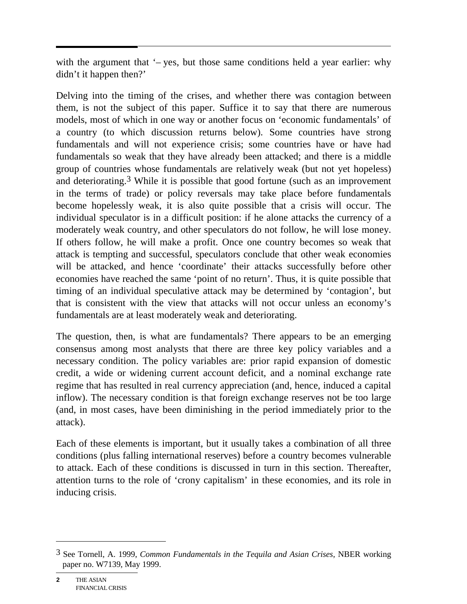with the argument that  $\div$  yes, but those same conditions held a year earlier: why didn't it happen then?'

Delving into the timing of the crises, and whether there was contagion between them, is not the subject of this paper. Suffice it to say that there are numerous models, most of which in one way or another focus on 'economic fundamentals' of a country (to which discussion returns below). Some countries have strong fundamentals and will not experience crisis; some countries have or have had fundamentals so weak that they have already been attacked; and there is a middle group of countries whose fundamentals are relatively weak (but not yet hopeless) and deteriorating.3 While it is possible that good fortune (such as an improvement in the terms of trade) or policy reversals may take place before fundamentals become hopelessly weak, it is also quite possible that a crisis will occur. The individual speculator is in a difficult position: if he alone attacks the currency of a moderately weak country, and other speculators do not follow, he will lose money. If others follow, he will make a profit. Once one country becomes so weak that attack is tempting and successful, speculators conclude that other weak economies will be attacked, and hence 'coordinate' their attacks successfully before other economies have reached the same 'point of no return'. Thus, it is quite possible that timing of an individual speculative attack may be determined by 'contagion', but that is consistent with the view that attacks will not occur unless an economy's fundamentals are at least moderately weak and deteriorating.

The question, then, is what are fundamentals? There appears to be an emerging consensus among most analysts that there are three key policy variables and a necessary condition. The policy variables are: prior rapid expansion of domestic credit, a wide or widening current account deficit, and a nominal exchange rate regime that has resulted in real currency appreciation (and, hence, induced a capital inflow). The necessary condition is that foreign exchange reserves not be too large (and, in most cases, have been diminishing in the period immediately prior to the attack).

Each of these elements is important, but it usually takes a combination of all three conditions (plus falling international reserves) before a country becomes vulnerable to attack. Each of these conditions is discussed in turn in this section. Thereafter, attention turns to the role of 'crony capitalism' in these economies, and its role in inducing crisis.

**2** THE ASIAN FINANCIAL CRISIS

<sup>3</sup> See Tornell, A. 1999, *Common Fundamentals in the Tequila and Asian Crises*, NBER working paper no. W7139, May 1999.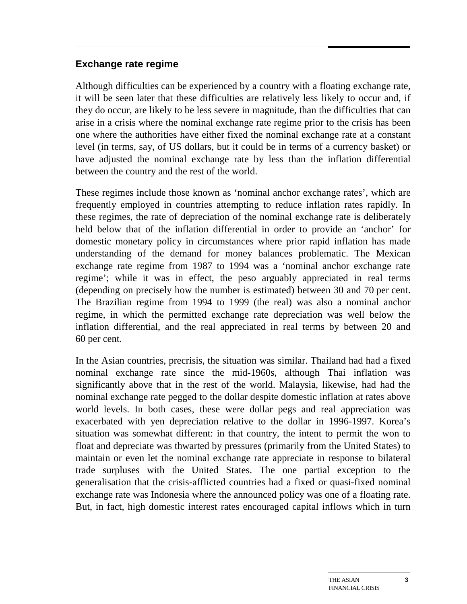#### **Exchange rate regime**

Although difficulties can be experienced by a country with a floating exchange rate, it will be seen later that these difficulties are relatively less likely to occur and, if they do occur, are likely to be less severe in magnitude, than the difficulties that can arise in a crisis where the nominal exchange rate regime prior to the crisis has been one where the authorities have either fixed the nominal exchange rate at a constant level (in terms, say, of US dollars, but it could be in terms of a currency basket) or have adjusted the nominal exchange rate by less than the inflation differential between the country and the rest of the world.

These regimes include those known as 'nominal anchor exchange rates', which are frequently employed in countries attempting to reduce inflation rates rapidly. In these regimes, the rate of depreciation of the nominal exchange rate is deliberately held below that of the inflation differential in order to provide an 'anchor' for domestic monetary policy in circumstances where prior rapid inflation has made understanding of the demand for money balances problematic. The Mexican exchange rate regime from 1987 to 1994 was a 'nominal anchor exchange rate regime'; while it was in effect, the peso arguably appreciated in real terms (depending on precisely how the number is estimated) between 30 and 70 per cent. The Brazilian regime from 1994 to 1999 (the real) was also a nominal anchor regime, in which the permitted exchange rate depreciation was well below the inflation differential, and the real appreciated in real terms by between 20 and 60 per cent.

In the Asian countries, precrisis, the situation was similar. Thailand had had a fixed nominal exchange rate since the mid-1960s, although Thai inflation was significantly above that in the rest of the world. Malaysia, likewise, had had the nominal exchange rate pegged to the dollar despite domestic inflation at rates above world levels. In both cases, these were dollar pegs and real appreciation was exacerbated with yen depreciation relative to the dollar in 1996-1997. Korea's situation was somewhat different: in that country, the intent to permit the won to float and depreciate was thwarted by pressures (primarily from the United States) to maintain or even let the nominal exchange rate appreciate in response to bilateral trade surpluses with the United States. The one partial exception to the generalisation that the crisis-afflicted countries had a fixed or quasi-fixed nominal exchange rate was Indonesia where the announced policy was one of a floating rate. But, in fact, high domestic interest rates encouraged capital inflows which in turn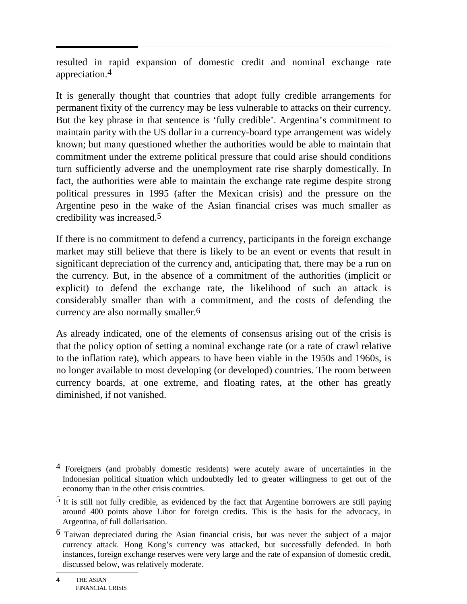resulted in rapid expansion of domestic credit and nominal exchange rate appreciation.4

It is generally thought that countries that adopt fully credible arrangements for permanent fixity of the currency may be less vulnerable to attacks on their currency. But the key phrase in that sentence is 'fully credible'. Argentina's commitment to maintain parity with the US dollar in a currency-board type arrangement was widely known; but many questioned whether the authorities would be able to maintain that commitment under the extreme political pressure that could arise should conditions turn sufficiently adverse and the unemployment rate rise sharply domestically. In fact, the authorities were able to maintain the exchange rate regime despite strong political pressures in 1995 (after the Mexican crisis) and the pressure on the Argentine peso in the wake of the Asian financial crises was much smaller as credibility was increased.5

If there is no commitment to defend a currency, participants in the foreign exchange market may still believe that there is likely to be an event or events that result in significant depreciation of the currency and, anticipating that, there may be a run on the currency. But, in the absence of a commitment of the authorities (implicit or explicit) to defend the exchange rate, the likelihood of such an attack is considerably smaller than with a commitment, and the costs of defending the currency are also normally smaller.6

As already indicated, one of the elements of consensus arising out of the crisis is that the policy option of setting a nominal exchange rate (or a rate of crawl relative to the inflation rate), which appears to have been viable in the 1950s and 1960s, is no longer available to most developing (or developed) countries. The room between currency boards, at one extreme, and floating rates, at the other has greatly diminished, if not vanished.

<sup>&</sup>lt;sup>4</sup> Foreigners (and probably domestic residents) were acutely aware of uncertainties in the Indonesian political situation which undoubtedly led to greater willingness to get out of the economy than in the other crisis countries.

<sup>5</sup> It is still not fully credible, as evidenced by the fact that Argentine borrowers are still paying around 400 points above Libor for foreign credits. This is the basis for the advocacy, in Argentina, of full dollarisation.

<sup>6</sup> Taiwan depreciated during the Asian financial crisis, but was never the subject of a major currency attack. Hong Kong's currency was attacked, but successfully defended. In both instances, foreign exchange reserves were very large and the rate of expansion of domestic credit, discussed below, was relatively moderate.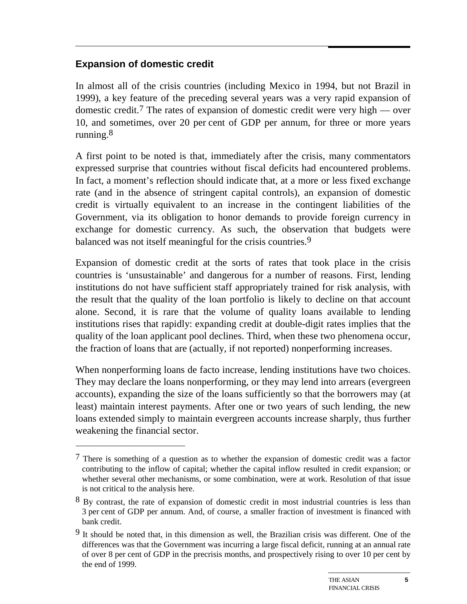### **Expansion of domestic credit**

 $\overline{a}$ 

In almost all of the crisis countries (including Mexico in 1994, but not Brazil in 1999), a key feature of the preceding several years was a very rapid expansion of domestic credit.7 The rates of expansion of domestic credit were very high — over 10, and sometimes, over 20 per cent of GDP per annum, for three or more years running.8

A first point to be noted is that, immediately after the crisis, many commentators expressed surprise that countries without fiscal deficits had encountered problems. In fact, a moment's reflection should indicate that, at a more or less fixed exchange rate (and in the absence of stringent capital controls), an expansion of domestic credit is virtually equivalent to an increase in the contingent liabilities of the Government, via its obligation to honor demands to provide foreign currency in exchange for domestic currency. As such, the observation that budgets were balanced was not itself meaningful for the crisis countries.<sup>9</sup>

Expansion of domestic credit at the sorts of rates that took place in the crisis countries is 'unsustainable' and dangerous for a number of reasons. First, lending institutions do not have sufficient staff appropriately trained for risk analysis, with the result that the quality of the loan portfolio is likely to decline on that account alone. Second, it is rare that the volume of quality loans available to lending institutions rises that rapidly: expanding credit at double-digit rates implies that the quality of the loan applicant pool declines. Third, when these two phenomena occur, the fraction of loans that are (actually, if not reported) nonperforming increases.

When nonperforming loans de facto increase, lending institutions have two choices. They may declare the loans nonperforming, or they may lend into arrears (evergreen accounts), expanding the size of the loans sufficiently so that the borrowers may (at least) maintain interest payments. After one or two years of such lending, the new loans extended simply to maintain evergreen accounts increase sharply, thus further weakening the financial sector.

 $7$  There is something of a question as to whether the expansion of domestic credit was a factor contributing to the inflow of capital; whether the capital inflow resulted in credit expansion; or whether several other mechanisms, or some combination, were at work. Resolution of that issue is not critical to the analysis here.

<sup>8</sup> By contrast, the rate of expansion of domestic credit in most industrial countries is less than 3 per cent of GDP per annum. And, of course, a smaller fraction of investment is financed with bank credit.

<sup>9</sup> It should be noted that, in this dimension as well, the Brazilian crisis was different. One of the differences was that the Government was incurring a large fiscal deficit, running at an annual rate of over 8 per cent of GDP in the precrisis months, and prospectively rising to over 10 per cent by the end of 1999.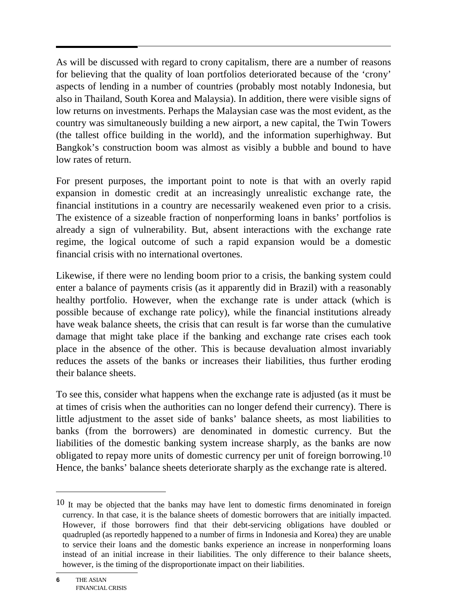As will be discussed with regard to crony capitalism, there are a number of reasons for believing that the quality of loan portfolios deteriorated because of the 'crony' aspects of lending in a number of countries (probably most notably Indonesia, but also in Thailand, South Korea and Malaysia). In addition, there were visible signs of low returns on investments. Perhaps the Malaysian case was the most evident, as the country was simultaneously building a new airport, a new capital, the Twin Towers (the tallest office building in the world), and the information superhighway. But Bangkok's construction boom was almost as visibly a bubble and bound to have low rates of return.

For present purposes, the important point to note is that with an overly rapid expansion in domestic credit at an increasingly unrealistic exchange rate, the financial institutions in a country are necessarily weakened even prior to a crisis. The existence of a sizeable fraction of nonperforming loans in banks' portfolios is already a sign of vulnerability. But, absent interactions with the exchange rate regime, the logical outcome of such a rapid expansion would be a domestic financial crisis with no international overtones.

Likewise, if there were no lending boom prior to a crisis, the banking system could enter a balance of payments crisis (as it apparently did in Brazil) with a reasonably healthy portfolio. However, when the exchange rate is under attack (which is possible because of exchange rate policy), while the financial institutions already have weak balance sheets, the crisis that can result is far worse than the cumulative damage that might take place if the banking and exchange rate crises each took place in the absence of the other. This is because devaluation almost invariably reduces the assets of the banks or increases their liabilities, thus further eroding their balance sheets.

To see this, consider what happens when the exchange rate is adjusted (as it must be at times of crisis when the authorities can no longer defend their currency). There is little adjustment to the asset side of banks' balance sheets, as most liabilities to banks (from the borrowers) are denominated in domestic currency. But the liabilities of the domestic banking system increase sharply, as the banks are now obligated to repay more units of domestic currency per unit of foreign borrowing.<sup>10</sup> Hence, the banks' balance sheets deteriorate sharply as the exchange rate is altered.

<sup>10</sup> It may be objected that the banks may have lent to domestic firms denominated in foreign currency. In that case, it is the balance sheets of domestic borrowers that are initially impacted. However, if those borrowers find that their debt-servicing obligations have doubled or quadrupled (as reportedly happened to a number of firms in Indonesia and Korea) they are unable to service their loans and the domestic banks experience an increase in nonperforming loans instead of an initial increase in their liabilities. The only difference to their balance sheets, however, is the timing of the disproportionate impact on their liabilities.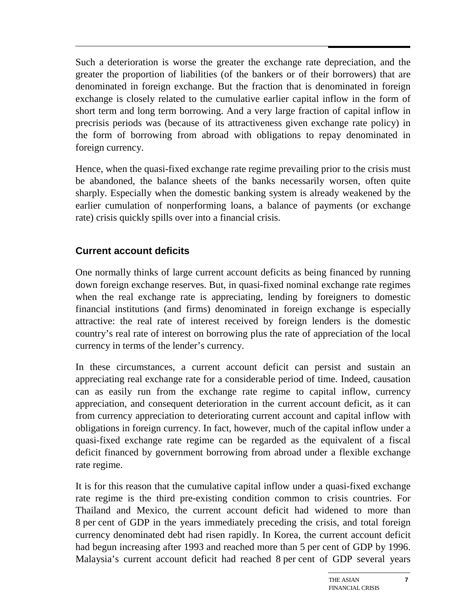Such a deterioration is worse the greater the exchange rate depreciation, and the greater the proportion of liabilities (of the bankers or of their borrowers) that are denominated in foreign exchange. But the fraction that is denominated in foreign exchange is closely related to the cumulative earlier capital inflow in the form of short term and long term borrowing. And a very large fraction of capital inflow in precrisis periods was (because of its attractiveness given exchange rate policy) in the form of borrowing from abroad with obligations to repay denominated in foreign currency.

Hence, when the quasi-fixed exchange rate regime prevailing prior to the crisis must be abandoned, the balance sheets of the banks necessarily worsen, often quite sharply. Especially when the domestic banking system is already weakened by the earlier cumulation of nonperforming loans, a balance of payments (or exchange rate) crisis quickly spills over into a financial crisis.

### **Current account deficits**

One normally thinks of large current account deficits as being financed by running down foreign exchange reserves. But, in quasi-fixed nominal exchange rate regimes when the real exchange rate is appreciating, lending by foreigners to domestic financial institutions (and firms) denominated in foreign exchange is especially attractive: the real rate of interest received by foreign lenders is the domestic country's real rate of interest on borrowing plus the rate of appreciation of the local currency in terms of the lender's currency.

In these circumstances, a current account deficit can persist and sustain an appreciating real exchange rate for a considerable period of time. Indeed, causation can as easily run from the exchange rate regime to capital inflow, currency appreciation, and consequent deterioration in the current account deficit, as it can from currency appreciation to deteriorating current account and capital inflow with obligations in foreign currency. In fact, however, much of the capital inflow under a quasi-fixed exchange rate regime can be regarded as the equivalent of a fiscal deficit financed by government borrowing from abroad under a flexible exchange rate regime.

It is for this reason that the cumulative capital inflow under a quasi-fixed exchange rate regime is the third pre-existing condition common to crisis countries. For Thailand and Mexico, the current account deficit had widened to more than 8 per cent of GDP in the years immediately preceding the crisis, and total foreign currency denominated debt had risen rapidly. In Korea, the current account deficit had begun increasing after 1993 and reached more than 5 per cent of GDP by 1996. Malaysia's current account deficit had reached 8 per cent of GDP several years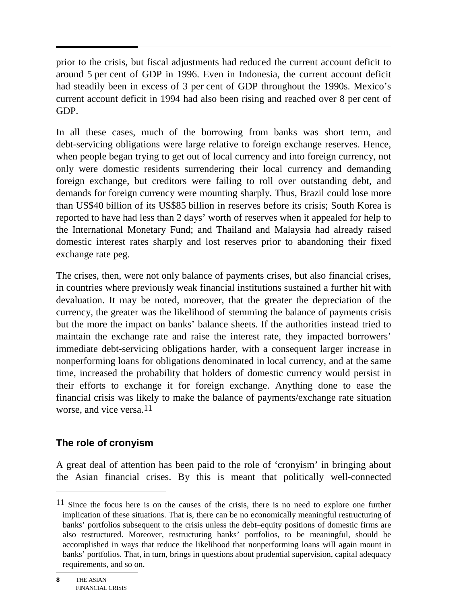prior to the crisis, but fiscal adjustments had reduced the current account deficit to around 5 per cent of GDP in 1996. Even in Indonesia, the current account deficit had steadily been in excess of 3 per cent of GDP throughout the 1990s. Mexico's current account deficit in 1994 had also been rising and reached over 8 per cent of GDP.

In all these cases, much of the borrowing from banks was short term, and debt-servicing obligations were large relative to foreign exchange reserves. Hence, when people began trying to get out of local currency and into foreign currency, not only were domestic residents surrendering their local currency and demanding foreign exchange, but creditors were failing to roll over outstanding debt, and demands for foreign currency were mounting sharply. Thus, Brazil could lose more than US\$40 billion of its US\$85 billion in reserves before its crisis; South Korea is reported to have had less than 2 days' worth of reserves when it appealed for help to the International Monetary Fund; and Thailand and Malaysia had already raised domestic interest rates sharply and lost reserves prior to abandoning their fixed exchange rate peg.

The crises, then, were not only balance of payments crises, but also financial crises, in countries where previously weak financial institutions sustained a further hit with devaluation. It may be noted, moreover, that the greater the depreciation of the currency, the greater was the likelihood of stemming the balance of payments crisis but the more the impact on banks' balance sheets. If the authorities instead tried to maintain the exchange rate and raise the interest rate, they impacted borrowers' immediate debt-servicing obligations harder, with a consequent larger increase in nonperforming loans for obligations denominated in local currency, and at the same time, increased the probability that holders of domestic currency would persist in their efforts to exchange it for foreign exchange. Anything done to ease the financial crisis was likely to make the balance of payments/exchange rate situation worse, and vice versa. $11$ 

### **The role of cronyism**

A great deal of attention has been paid to the role of 'cronyism' in bringing about the Asian financial crises. By this is meant that politically well-connected

<sup>&</sup>lt;sup>11</sup> Since the focus here is on the causes of the crisis, there is no need to explore one further implication of these situations. That is, there can be no economically meaningful restructuring of banks' portfolios subsequent to the crisis unless the debt–equity positions of domestic firms are also restructured. Moreover, restructuring banks' portfolios, to be meaningful, should be accomplished in ways that reduce the likelihood that nonperforming loans will again mount in banks' portfolios. That, in turn, brings in questions about prudential supervision, capital adequacy requirements, and so on.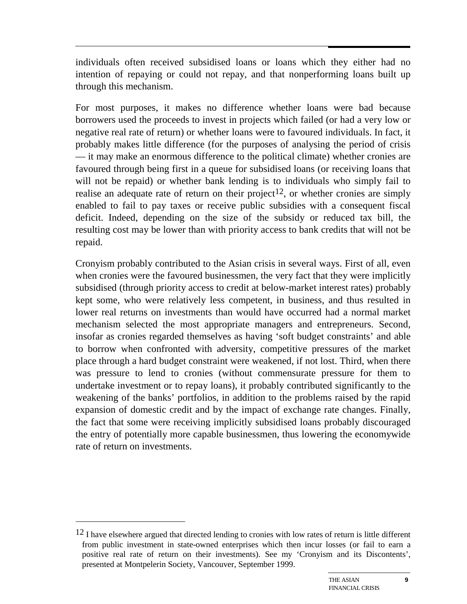individuals often received subsidised loans or loans which they either had no intention of repaying or could not repay, and that nonperforming loans built up through this mechanism.

For most purposes, it makes no difference whether loans were bad because borrowers used the proceeds to invest in projects which failed (or had a very low or negative real rate of return) or whether loans were to favoured individuals. In fact, it probably makes little difference (for the purposes of analysing the period of crisis — it may make an enormous difference to the political climate) whether cronies are favoured through being first in a queue for subsidised loans (or receiving loans that will not be repaid) or whether bank lending is to individuals who simply fail to realise an adequate rate of return on their project<sup>12</sup>, or whether cronies are simply enabled to fail to pay taxes or receive public subsidies with a consequent fiscal deficit. Indeed, depending on the size of the subsidy or reduced tax bill, the resulting cost may be lower than with priority access to bank credits that will not be repaid.

Cronyism probably contributed to the Asian crisis in several ways. First of all, even when cronies were the favoured businessmen, the very fact that they were implicitly subsidised (through priority access to credit at below-market interest rates) probably kept some, who were relatively less competent, in business, and thus resulted in lower real returns on investments than would have occurred had a normal market mechanism selected the most appropriate managers and entrepreneurs. Second, insofar as cronies regarded themselves as having 'soft budget constraints' and able to borrow when confronted with adversity, competitive pressures of the market place through a hard budget constraint were weakened, if not lost. Third, when there was pressure to lend to cronies (without commensurate pressure for them to undertake investment or to repay loans), it probably contributed significantly to the weakening of the banks' portfolios, in addition to the problems raised by the rapid expansion of domestic credit and by the impact of exchange rate changes. Finally, the fact that some were receiving implicitly subsidised loans probably discouraged the entry of potentially more capable businessmen, thus lowering the economywide rate of return on investments.

 $12$  I have elsewhere argued that directed lending to cronies with low rates of return is little different from public investment in state-owned enterprises which then incur losses (or fail to earn a positive real rate of return on their investments). See my 'Cronyism and its Discontents', presented at Montpelerin Society, Vancouver, September 1999.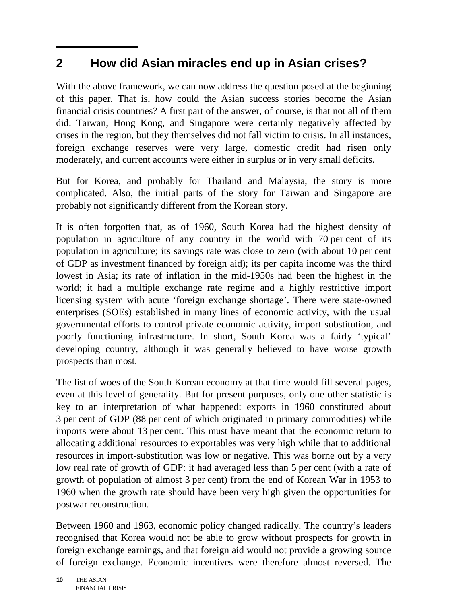# **2 How did Asian miracles end up in Asian crises?**

With the above framework, we can now address the question posed at the beginning of this paper. That is, how could the Asian success stories become the Asian financial crisis countries? A first part of the answer, of course, is that not all of them did: Taiwan, Hong Kong, and Singapore were certainly negatively affected by crises in the region, but they themselves did not fall victim to crisis. In all instances, foreign exchange reserves were very large, domestic credit had risen only moderately, and current accounts were either in surplus or in very small deficits.

But for Korea, and probably for Thailand and Malaysia, the story is more complicated. Also, the initial parts of the story for Taiwan and Singapore are probably not significantly different from the Korean story.

It is often forgotten that, as of 1960, South Korea had the highest density of population in agriculture of any country in the world with 70 per cent of its population in agriculture; its savings rate was close to zero (with about 10 per cent of GDP as investment financed by foreign aid); its per capita income was the third lowest in Asia; its rate of inflation in the mid-1950s had been the highest in the world; it had a multiple exchange rate regime and a highly restrictive import licensing system with acute 'foreign exchange shortage'. There were state-owned enterprises (SOEs) established in many lines of economic activity, with the usual governmental efforts to control private economic activity, import substitution, and poorly functioning infrastructure. In short, South Korea was a fairly 'typical' developing country, although it was generally believed to have worse growth prospects than most.

The list of woes of the South Korean economy at that time would fill several pages, even at this level of generality. But for present purposes, only one other statistic is key to an interpretation of what happened: exports in 1960 constituted about 3 per cent of GDP (88 per cent of which originated in primary commodities) while imports were about 13 per cent. This must have meant that the economic return to allocating additional resources to exportables was very high while that to additional resources in import-substitution was low or negative. This was borne out by a very low real rate of growth of GDP: it had averaged less than 5 per cent (with a rate of growth of population of almost 3 per cent) from the end of Korean War in 1953 to 1960 when the growth rate should have been very high given the opportunities for postwar reconstruction.

Between 1960 and 1963, economic policy changed radically. The country's leaders recognised that Korea would not be able to grow without prospects for growth in foreign exchange earnings, and that foreign aid would not provide a growing source of foreign exchange. Economic incentives were therefore almost reversed. The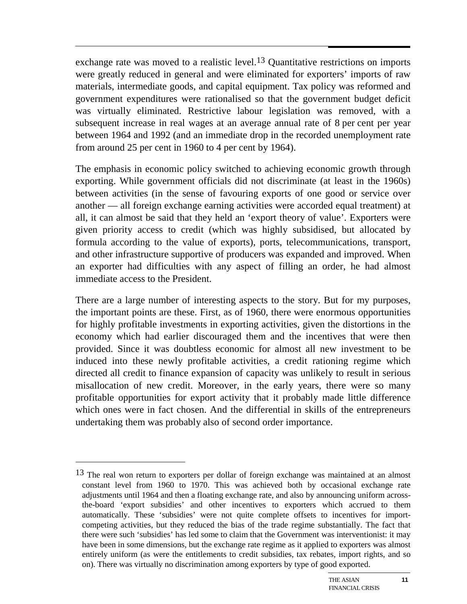exchange rate was moved to a realistic level.<sup>13</sup> Quantitative restrictions on imports were greatly reduced in general and were eliminated for exporters' imports of raw materials, intermediate goods, and capital equipment. Tax policy was reformed and government expenditures were rationalised so that the government budget deficit was virtually eliminated. Restrictive labour legislation was removed, with a subsequent increase in real wages at an average annual rate of 8 per cent per year between 1964 and 1992 (and an immediate drop in the recorded unemployment rate from around 25 per cent in 1960 to 4 per cent by 1964).

The emphasis in economic policy switched to achieving economic growth through exporting. While government officials did not discriminate (at least in the 1960s) between activities (in the sense of favouring exports of one good or service over another — all foreign exchange earning activities were accorded equal treatment) at all, it can almost be said that they held an 'export theory of value'. Exporters were given priority access to credit (which was highly subsidised, but allocated by formula according to the value of exports), ports, telecommunications, transport, and other infrastructure supportive of producers was expanded and improved. When an exporter had difficulties with any aspect of filling an order, he had almost immediate access to the President.

There are a large number of interesting aspects to the story. But for my purposes, the important points are these. First, as of 1960, there were enormous opportunities for highly profitable investments in exporting activities, given the distortions in the economy which had earlier discouraged them and the incentives that were then provided. Since it was doubtless economic for almost all new investment to be induced into these newly profitable activities, a credit rationing regime which directed all credit to finance expansion of capacity was unlikely to result in serious misallocation of new credit. Moreover, in the early years, there were so many profitable opportunities for export activity that it probably made little difference which ones were in fact chosen. And the differential in skills of the entrepreneurs undertaking them was probably also of second order importance.

 $13$  The real won return to exporters per dollar of foreign exchange was maintained at an almost constant level from 1960 to 1970. This was achieved both by occasional exchange rate adjustments until 1964 and then a floating exchange rate, and also by announcing uniform acrossthe-board 'export subsidies' and other incentives to exporters which accrued to them automatically. These 'subsidies' were not quite complete offsets to incentives for importcompeting activities, but they reduced the bias of the trade regime substantially. The fact that there were such 'subsidies' has led some to claim that the Government was interventionist: it may have been in some dimensions, but the exchange rate regime as it applied to exporters was almost entirely uniform (as were the entitlements to credit subsidies, tax rebates, import rights, and so on). There was virtually no discrimination among exporters by type of good exported.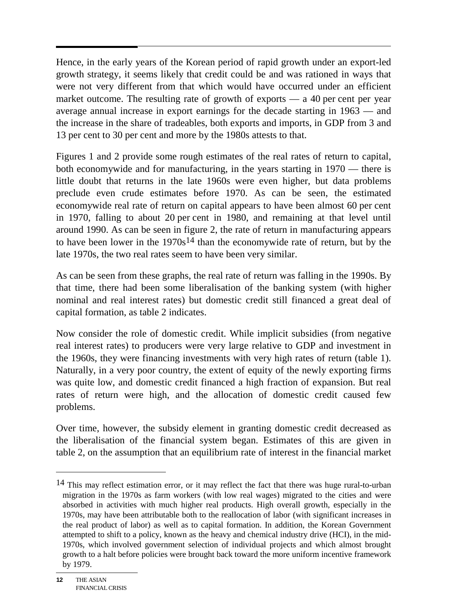Hence, in the early years of the Korean period of rapid growth under an export-led growth strategy, it seems likely that credit could be and was rationed in ways that were not very different from that which would have occurred under an efficient market outcome. The resulting rate of growth of exports  $-$  a 40 per cent per year average annual increase in export earnings for the decade starting in 1963 — and the increase in the share of tradeables, both exports and imports, in GDP from 3 and 13 per cent to 30 per cent and more by the 1980s attests to that.

Figures 1 and 2 provide some rough estimates of the real rates of return to capital, both economywide and for manufacturing, in the years starting in 1970 — there is little doubt that returns in the late 1960s were even higher, but data problems preclude even crude estimates before 1970. As can be seen, the estimated economywide real rate of return on capital appears to have been almost 60 per cent in 1970, falling to about 20 per cent in 1980, and remaining at that level until around 1990. As can be seen in figure 2, the rate of return in manufacturing appears to have been lower in the  $1970s<sup>14</sup>$  than the economywide rate of return, but by the late 1970s, the two real rates seem to have been very similar.

As can be seen from these graphs, the real rate of return was falling in the 1990s. By that time, there had been some liberalisation of the banking system (with higher nominal and real interest rates) but domestic credit still financed a great deal of capital formation, as table 2 indicates.

Now consider the role of domestic credit. While implicit subsidies (from negative real interest rates) to producers were very large relative to GDP and investment in the 1960s, they were financing investments with very high rates of return (table 1). Naturally, in a very poor country, the extent of equity of the newly exporting firms was quite low, and domestic credit financed a high fraction of expansion. But real rates of return were high, and the allocation of domestic credit caused few problems.

Over time, however, the subsidy element in granting domestic credit decreased as the liberalisation of the financial system began. Estimates of this are given in table 2, on the assumption that an equilibrium rate of interest in the financial market

<sup>&</sup>lt;sup>14</sup> This may reflect estimation error, or it may reflect the fact that there was huge rural-to-urban migration in the 1970s as farm workers (with low real wages) migrated to the cities and were absorbed in activities with much higher real products. High overall growth, especially in the 1970s, may have been attributable both to the reallocation of labor (with significant increases in the real product of labor) as well as to capital formation. In addition, the Korean Government attempted to shift to a policy, known as the heavy and chemical industry drive (HCI), in the mid-1970s, which involved government selection of individual projects and which almost brought growth to a halt before policies were brought back toward the more uniform incentive framework by 1979.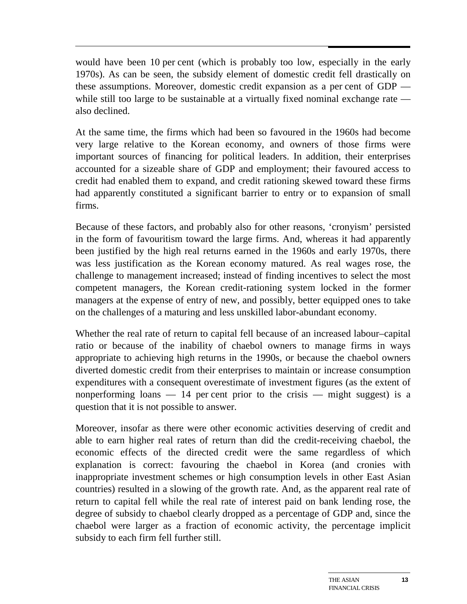would have been 10 per cent (which is probably too low, especially in the early 1970s). As can be seen, the subsidy element of domestic credit fell drastically on these assumptions. Moreover, domestic credit expansion as a per cent of GDP while still too large to be sustainable at a virtually fixed nominal exchange rate also declined.

At the same time, the firms which had been so favoured in the 1960s had become very large relative to the Korean economy, and owners of those firms were important sources of financing for political leaders. In addition, their enterprises accounted for a sizeable share of GDP and employment; their favoured access to credit had enabled them to expand, and credit rationing skewed toward these firms had apparently constituted a significant barrier to entry or to expansion of small firms.

Because of these factors, and probably also for other reasons, 'cronyism' persisted in the form of favouritism toward the large firms. And, whereas it had apparently been justified by the high real returns earned in the 1960s and early 1970s, there was less justification as the Korean economy matured. As real wages rose, the challenge to management increased; instead of finding incentives to select the most competent managers, the Korean credit-rationing system locked in the former managers at the expense of entry of new, and possibly, better equipped ones to take on the challenges of a maturing and less unskilled labor-abundant economy.

Whether the real rate of return to capital fell because of an increased labour–capital ratio or because of the inability of chaebol owners to manage firms in ways appropriate to achieving high returns in the 1990s, or because the chaebol owners diverted domestic credit from their enterprises to maintain or increase consumption expenditures with a consequent overestimate of investment figures (as the extent of nonperforming loans  $-14$  per cent prior to the crisis  $-$  might suggest) is a question that it is not possible to answer.

Moreover, insofar as there were other economic activities deserving of credit and able to earn higher real rates of return than did the credit-receiving chaebol, the economic effects of the directed credit were the same regardless of which explanation is correct: favouring the chaebol in Korea (and cronies with inappropriate investment schemes or high consumption levels in other East Asian countries) resulted in a slowing of the growth rate. And, as the apparent real rate of return to capital fell while the real rate of interest paid on bank lending rose, the degree of subsidy to chaebol clearly dropped as a percentage of GDP and, since the chaebol were larger as a fraction of economic activity, the percentage implicit subsidy to each firm fell further still.

**13**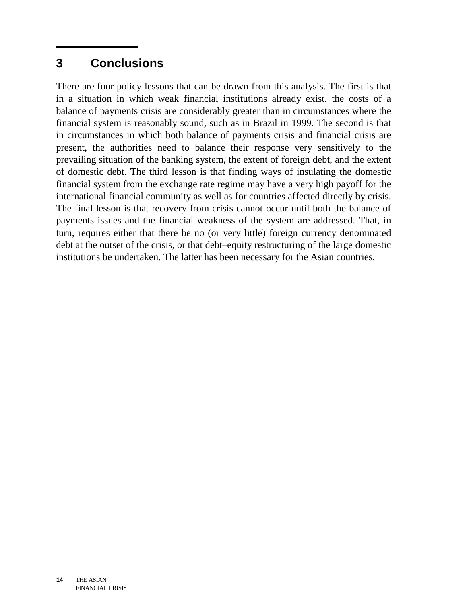## **3 Conclusions**

There are four policy lessons that can be drawn from this analysis. The first is that in a situation in which weak financial institutions already exist, the costs of a balance of payments crisis are considerably greater than in circumstances where the financial system is reasonably sound, such as in Brazil in 1999. The second is that in circumstances in which both balance of payments crisis and financial crisis are present, the authorities need to balance their response very sensitively to the prevailing situation of the banking system, the extent of foreign debt, and the extent of domestic debt. The third lesson is that finding ways of insulating the domestic financial system from the exchange rate regime may have a very high payoff for the international financial community as well as for countries affected directly by crisis. The final lesson is that recovery from crisis cannot occur until both the balance of payments issues and the financial weakness of the system are addressed. That, in turn, requires either that there be no (or very little) foreign currency denominated debt at the outset of the crisis, or that debt–equity restructuring of the large domestic institutions be undertaken. The latter has been necessary for the Asian countries.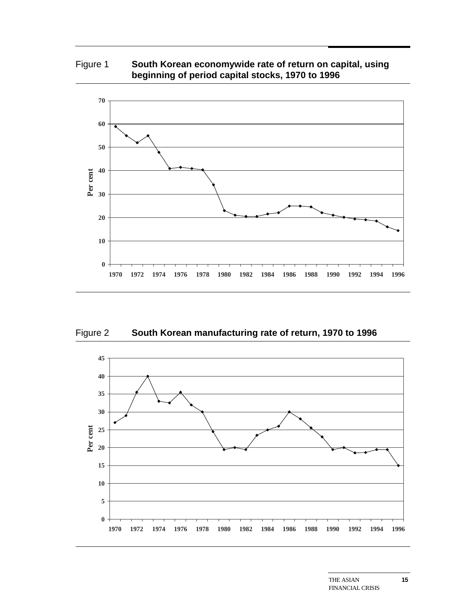### Figure 1 **South Korean economywide rate of return on capital, using beginning of period capital stocks, 1970 to 1996**



Figure 2 **South Korean manufacturing rate of return, 1970 to 1996**